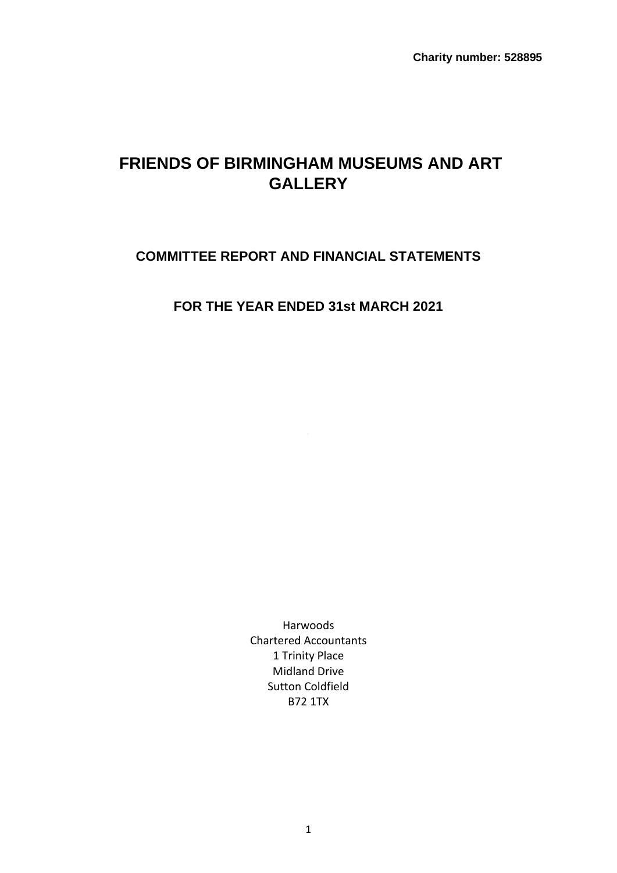**Charity number: 528895**

# **FRIENDS OF BIRMINGHAM MUSEUMS AND ART GALLERY**

# **COMMITTEE REPORT AND FINANCIAL STATEMENTS**

**FOR THE YEAR ENDED 31st MARCH 2021**

Harwoods Chartered Accountants 1 Trinity Place Midland Drive Sutton Coldfield B72 1TX

1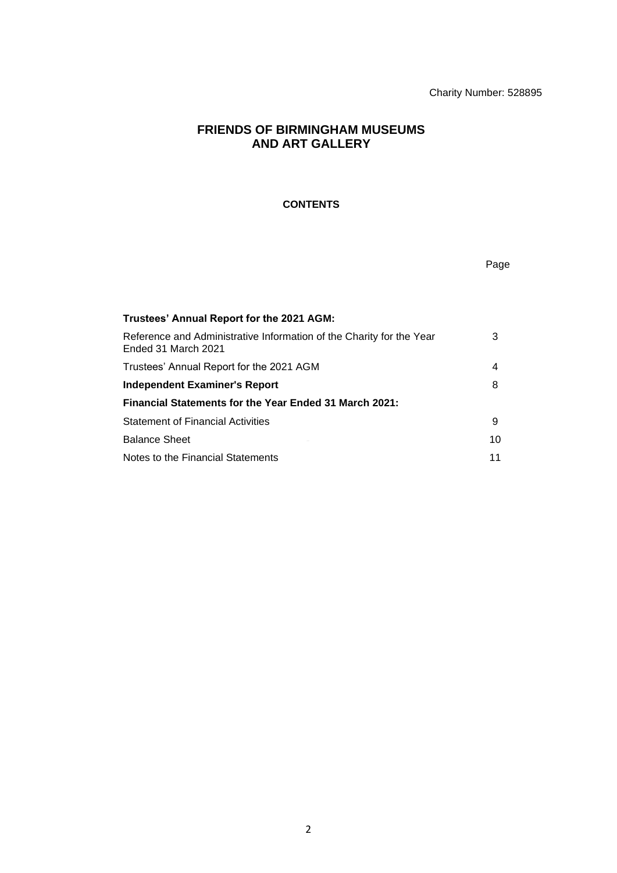Charity Number: 528895

Page

# **FRIENDS OF BIRMINGHAM MUSEUMS AND ART GALLERY**

# **CONTENTS**

**Trustees' Annual Report for the 2021 AGM:** Reference and Administrative Information of the Charity for the Year Ended 31 March 2021 3 Trustees' Annual Report for the 2021 AGM 4 **Independent Examiner's Report** 8 and 8 and 8 and 8 and 8 and 8 and 8 and 8 and 8 and 8 and 8 and 8 and 8 and 8 and 8 and 8 and 8 and 8 and 8 and 8 and 8 and 8 and 8 and 8 and 8 and 8 and 8 and 8 and 8 and 8 and 8 and 8 an **Financial Statements for the Year Ended 31 March 2021:** Statement of Financial Activities **9** and the statement of  $\theta$ Balance Sheet 10 Notes to the Financial Statements 11 and 11 and 12 and 12 and 12 and 12 and 12 and 12 and 12 and 12 and 12 and 12 and 12 and 12 and 12 and 12 and 12 and 12 and 12 and 12 and 12 and 12 and 12 and 12 and 12 and 12 and 12 and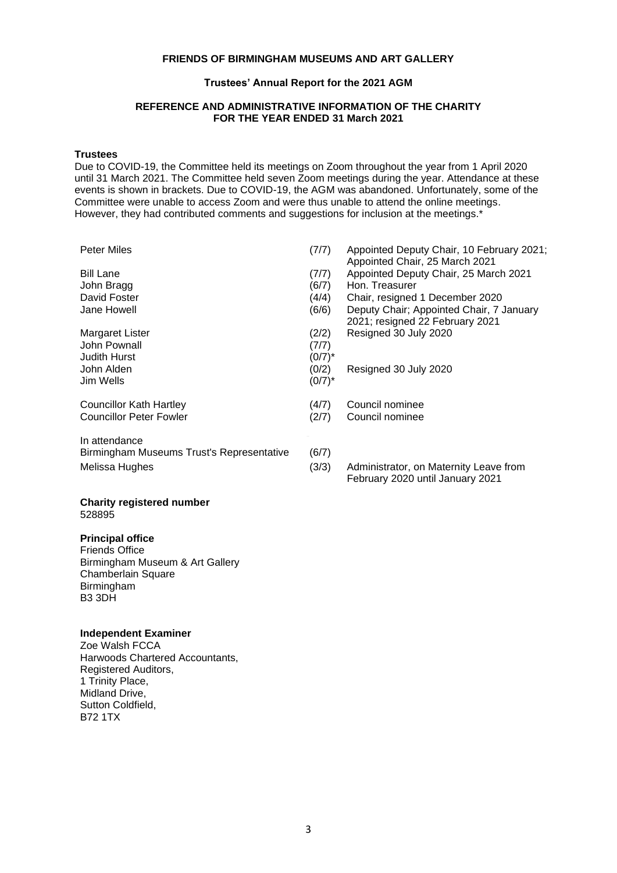#### **Trustees' Annual Report for the 2021 AGM**

### **REFERENCE AND ADMINISTRATIVE INFORMATION OF THE CHARITY FOR THE YEAR ENDED 31 March 2021**

# **Trustees**

Due to COVID-19, the Committee held its meetings on Zoom throughout the year from 1 April 2020 until 31 March 2021. The Committee held seven Zoom meetings during the year. Attendance at these events is shown in brackets. Due to COVID-19, the AGM was abandoned. Unfortunately, some of the Committee were unable to access Zoom and were thus unable to attend the online meetings. However, they had contributed comments and suggestions for inclusion at the meetings.<sup>\*</sup>

| Peter Miles                               | (7/7)     | Appointed Deputy Chair, 10 February 2021;<br>Appointed Chair, 25 March 2021 |
|-------------------------------------------|-----------|-----------------------------------------------------------------------------|
| <b>Bill Lane</b>                          | (7/7)     | Appointed Deputy Chair, 25 March 2021                                       |
| John Bragg                                | (6/7)     | Hon. Treasurer                                                              |
| David Foster                              | (4/4)     | Chair, resigned 1 December 2020                                             |
| Jane Howell                               | (6/6)     | Deputy Chair; Appointed Chair, 7 January<br>2021; resigned 22 February 2021 |
| Margaret Lister                           | (2/2)     | Resigned 30 July 2020                                                       |
| John Pownall                              | (7/7)     |                                                                             |
| <b>Judith Hurst</b>                       | $(0/7)^*$ |                                                                             |
| John Alden                                | (0/2)     | Resigned 30 July 2020                                                       |
| Jim Wells                                 | $(0/7)^*$ |                                                                             |
| Councillor Kath Hartley                   | (4/7)     | Council nominee                                                             |
| <b>Councillor Peter Fowler</b>            | (2/7)     | Council nominee                                                             |
| In attendance                             |           |                                                                             |
| Birmingham Museums Trust's Representative | (6/7)     |                                                                             |
| Melissa Hughes                            | (3/3)     | Administrator, on Maternity Leave from<br>February 2020 until January 2021  |

#### **Charity registered number** 528895

# **Principal office**

Friends Office Birmingham Museum & Art Gallery Chamberlain Square Birmingham B3 3DH

# **Independent Examiner**

Zoe Walsh FCCA Harwoods Chartered Accountants, Registered Auditors, 1 Trinity Place, Midland Drive. Sutton Coldfield, B72 1TX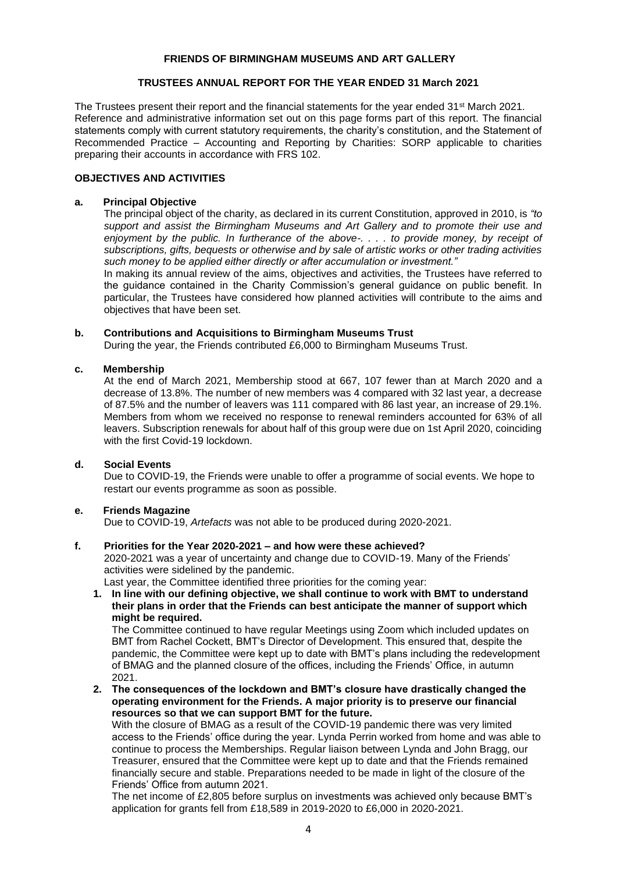# **TRUSTEES ANNUAL REPORT FOR THE YEAR ENDED 31 March 2021**

The Trustees present their report and the financial statements for the year ended 31<sup>st</sup> March 2021. Reference and administrative information set out on this page forms part of this report. The financial statements comply with current statutory requirements, the charity's constitution, and the Statement of Recommended Practice – Accounting and Reporting by Charities: SORP applicable to charities preparing their accounts in accordance with FRS 102.

### **OBJECTIVES AND ACTIVITIES**

### **a. Principal Objective**

The principal object of the charity, as declared in its current Constitution, approved in 2010, is *"to support and assist the Birmingham Museums and Art Gallery and to promote their use and enjoyment by the public. In furtherance of the above-. . . . to provide money, by receipt of subscriptions, gifts, bequests or otherwise and by sale of artistic works or other trading activities such money to be applied either directly or after accumulation or investment."*

In making its annual review of the aims, objectives and activities, the Trustees have referred to the guidance contained in the Charity Commission's general guidance on public benefit. In particular, the Trustees have considered how planned activities will contribute to the aims and objectives that have been set.

### **b. Contributions and Acquisitions to Birmingham Museums Trust**

During the year, the Friends contributed £6,000 to Birmingham Museums Trust.

### **c. Membership**

At the end of March 2021, Membership stood at 667, 107 fewer than at March 2020 and a decrease of 13.8%. The number of new members was 4 compared with 32 last year, a decrease of 87.5% and the number of leavers was 111 compared with 86 last year, an increase of 29.1%. Members from whom we received no response to renewal reminders accounted for 63% of all leavers. Subscription renewals for about half of this group were due on 1st April 2020, coinciding with the first Covid-19 lockdown.

### **d. Social Events**

Due to COVID-19, the Friends were unable to offer a programme of social events. We hope to restart our events programme as soon as possible.

# **e. Friends Magazine**

Due to COVID-19, *Artefacts* was not able to be produced during 2020-2021.

### **f. Priorities for the Year 2020-2021 – and how were these achieved?**

2020-2021 was a year of uncertainty and change due to COVID-19. Many of the Friends' activities were sidelined by the pandemic.

Last year, the Committee identified three priorities for the coming year:

**1. In line with our defining objective, we shall continue to work with BMT to understand their plans in order that the Friends can best anticipate the manner of support which might be required.**

The Committee continued to have regular Meetings using Zoom which included updates on BMT from Rachel Cockett, BMT's Director of Development. This ensured that, despite the pandemic, the Committee were kept up to date with BMT's plans including the redevelopment of BMAG and the planned closure of the offices, including the Friends' Office, in autumn 2021.

**2. The consequences of the lockdown and BMT's closure have drastically changed the operating environment for the Friends. A major priority is to preserve our financial resources so that we can support BMT for the future.**

With the closure of BMAG as a result of the COVID-19 pandemic there was very limited access to the Friends' office during the year. Lynda Perrin worked from home and was able to continue to process the Memberships. Regular liaison between Lynda and John Bragg, our Treasurer, ensured that the Committee were kept up to date and that the Friends remained financially secure and stable. Preparations needed to be made in light of the closure of the Friends' Office from autumn 2021.

The net income of £2,805 before surplus on investments was achieved only because BMT's application for grants fell from £18,589 in 2019-2020 to £6,000 in 2020-2021.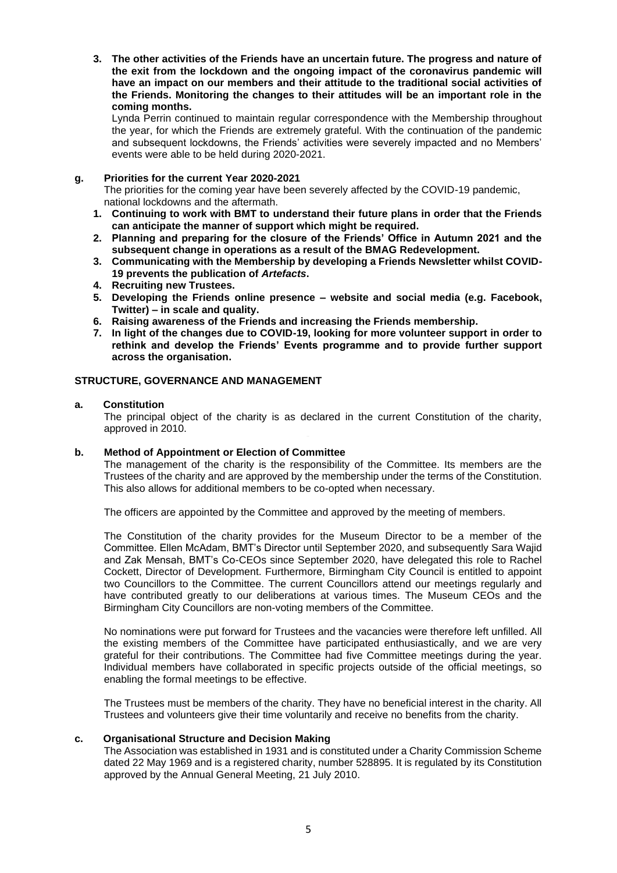**3. The other activities of the Friends have an uncertain future. The progress and nature of the exit from the lockdown and the ongoing impact of the coronavirus pandemic will have an impact on our members and their attitude to the traditional social activities of the Friends. Monitoring the changes to their attitudes will be an important role in the coming months.** 

Lynda Perrin continued to maintain regular correspondence with the Membership throughout the year, for which the Friends are extremely grateful. With the continuation of the pandemic and subsequent lockdowns, the Friends' activities were severely impacted and no Members' events were able to be held during 2020-2021.

### **g. Priorities for the current Year 2020-2021**

The priorities for the coming year have been severely affected by the COVID-19 pandemic, national lockdowns and the aftermath.

- **1. Continuing to work with BMT to understand their future plans in order that the Friends can anticipate the manner of support which might be required.**
- **2. Planning and preparing for the closure of the Friends' Office in Autumn 2021 and the subsequent change in operations as a result of the BMAG Redevelopment.**
- **3. Communicating with the Membership by developing a Friends Newsletter whilst COVID-19 prevents the publication of** *Artefacts***.**
- **4. Recruiting new Trustees.**
- **5. Developing the Friends online presence – website and social media (e.g. Facebook, Twitter) – in scale and quality.**
- **6. Raising awareness of the Friends and increasing the Friends membership.**
- **7. In light of the changes due to COVID-19, looking for more volunteer support in order to rethink and develop the Friends' Events programme and to provide further support across the organisation.**

# **STRUCTURE, GOVERNANCE AND MANAGEMENT**

### **a. Constitution**

The principal object of the charity is as declared in the current Constitution of the charity, approved in 2010.

# **b. Method of Appointment or Election of Committee**

The management of the charity is the responsibility of the Committee. Its members are the Trustees of the charity and are approved by the membership under the terms of the Constitution. This also allows for additional members to be co-opted when necessary.

The officers are appointed by the Committee and approved by the meeting of members.

The Constitution of the charity provides for the Museum Director to be a member of the Committee. Ellen McAdam, BMT's Director until September 2020, and subsequently Sara Wajid and Zak Mensah, BMT's Co-CEOs since September 2020, have delegated this role to Rachel Cockett, Director of Development. Furthermore, Birmingham City Council is entitled to appoint two Councillors to the Committee. The current Councillors attend our meetings regularly and have contributed greatly to our deliberations at various times. The Museum CEOs and the Birmingham City Councillors are non-voting members of the Committee.

No nominations were put forward for Trustees and the vacancies were therefore left unfilled. All the existing members of the Committee have participated enthusiastically, and we are very grateful for their contributions. The Committee had five Committee meetings during the year. Individual members have collaborated in specific projects outside of the official meetings, so enabling the formal meetings to be effective.

The Trustees must be members of the charity. They have no beneficial interest in the charity. All Trustees and volunteers give their time voluntarily and receive no benefits from the charity.

# **c. Organisational Structure and Decision Making**

The Association was established in 1931 and is constituted under a Charity Commission Scheme dated 22 May 1969 and is a registered charity, number 528895. It is regulated by its Constitution approved by the Annual General Meeting, 21 July 2010.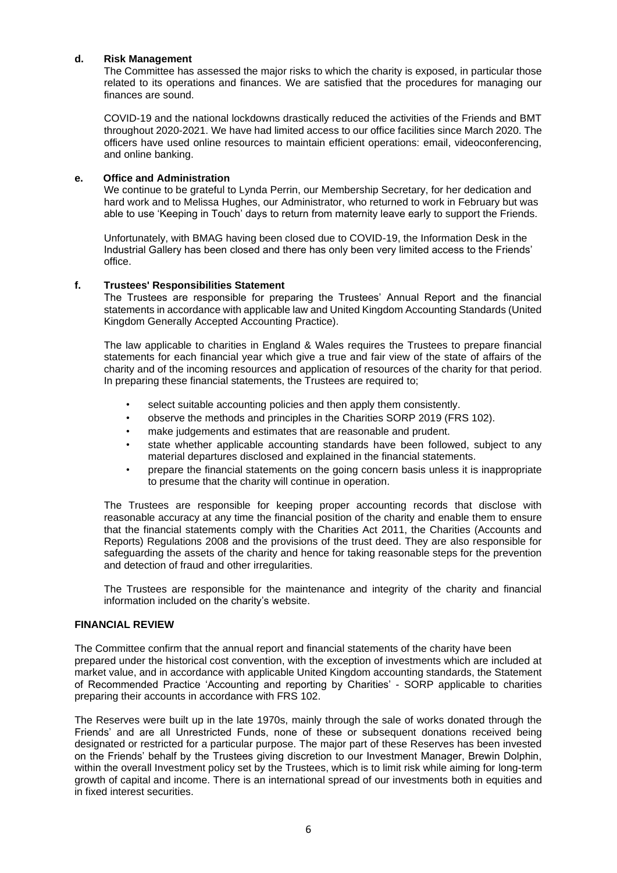### **d. Risk Management**

The Committee has assessed the major risks to which the charity is exposed, in particular those related to its operations and finances. We are satisfied that the procedures for managing our finances are sound.

COVID-19 and the national lockdowns drastically reduced the activities of the Friends and BMT throughout 2020-2021. We have had limited access to our office facilities since March 2020. The officers have used online resources to maintain efficient operations: email, videoconferencing, and online banking.

### **e. Office and Administration**

We continue to be grateful to Lynda Perrin, our Membership Secretary, for her dedication and hard work and to Melissa Hughes, our Administrator, who returned to work in February but was able to use 'Keeping in Touch' days to return from maternity leave early to support the Friends.

Unfortunately, with BMAG having been closed due to COVID-19, the Information Desk in the Industrial Gallery has been closed and there has only been very limited access to the Friends' office.

### **f. Trustees' Responsibilities Statement**

The Trustees are responsible for preparing the Trustees' Annual Report and the financial statements in accordance with applicable law and United Kingdom Accounting Standards (United Kingdom Generally Accepted Accounting Practice).

The law applicable to charities in England & Wales requires the Trustees to prepare financial statements for each financial year which give a true and fair view of the state of affairs of the charity and of the incoming resources and application of resources of the charity for that period. In preparing these financial statements, the Trustees are required to:

- select suitable accounting policies and then apply them consistently.
- observe the methods and principles in the Charities SORP 2019 (FRS 102).
- make judgements and estimates that are reasonable and prudent.
- state whether applicable accounting standards have been followed, subject to any material departures disclosed and explained in the financial statements.
- prepare the financial statements on the going concern basis unless it is inappropriate to presume that the charity will continue in operation.

The Trustees are responsible for keeping proper accounting records that disclose with reasonable accuracy at any time the financial position of the charity and enable them to ensure that the financial statements comply with the Charities Act 2011, the Charities (Accounts and Reports) Regulations 2008 and the provisions of the trust deed. They are also responsible for safeguarding the assets of the charity and hence for taking reasonable steps for the prevention and detection of fraud and other irregularities.

The Trustees are responsible for the maintenance and integrity of the charity and financial information included on the charity's website.

### **FINANCIAL REVIEW**

The Committee confirm that the annual report and financial statements of the charity have been prepared under the historical cost convention, with the exception of investments which are included at market value, and in accordance with applicable United Kingdom accounting standards, the Statement of Recommended Practice 'Accounting and reporting by Charities' - SORP applicable to charities preparing their accounts in accordance with FRS 102.

The Reserves were built up in the late 1970s, mainly through the sale of works donated through the Friends' and are all Unrestricted Funds, none of these or subsequent donations received being designated or restricted for a particular purpose. The major part of these Reserves has been invested on the Friends' behalf by the Trustees giving discretion to our Investment Manager, Brewin Dolphin, within the overall Investment policy set by the Trustees, which is to limit risk while aiming for long-term growth of capital and income. There is an international spread of our investments both in equities and in fixed interest securities.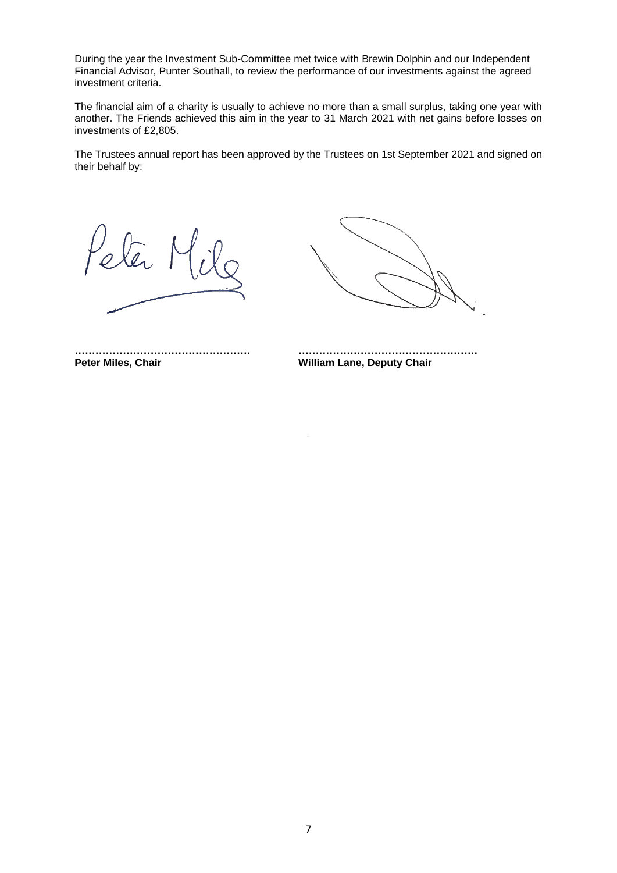During the year the Investment Sub-Committee met twice with Brewin Dolphin and our Independent Financial Advisor, Punter Southall, to review the performance of our investments against the agreed investment criteria.

The financial aim of a charity is usually to achieve no more than a small surplus, taking one year with another. The Friends achieved this aim in the year to 31 March 2021 with net gains before losses on investments of £2,805.

The Trustees annual report has been approved by the Trustees on 1st September 2021 and signed on their behalf by:

ter

**…………………………………………… ……………………………………………. Peter Miles, Chair William Lane, Deputy Chair**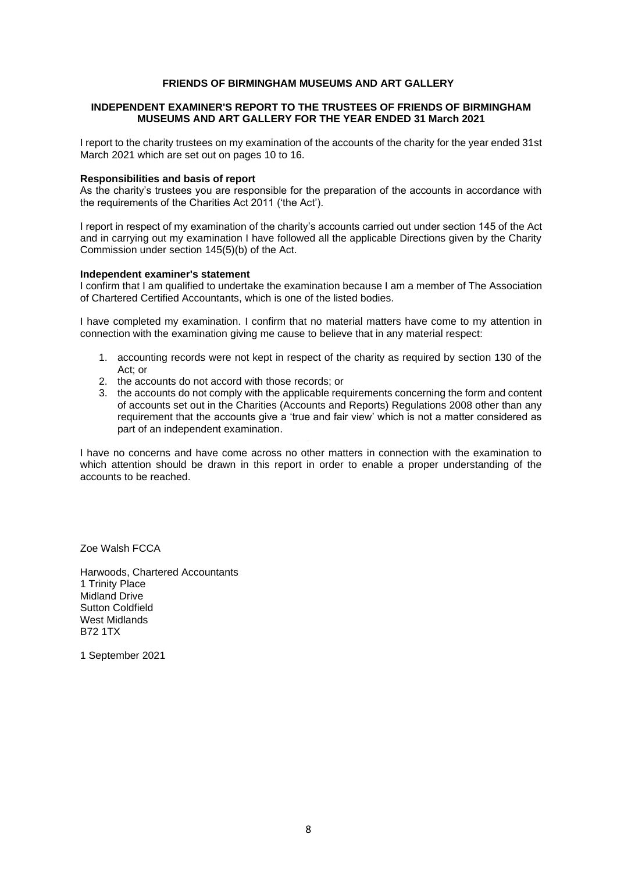### **INDEPENDENT EXAMINER'S REPORT TO THE TRUSTEES OF FRIENDS OF BIRMINGHAM MUSEUMS AND ART GALLERY FOR THE YEAR ENDED 31 March 2021**

I report to the charity trustees on my examination of the accounts of the charity for the year ended 31st March 2021 which are set out on pages 10 to 16.

#### **Responsibilities and basis of report**

As the charity's trustees you are responsible for the preparation of the accounts in accordance with the requirements of the Charities Act 2011 ('the Act').

I report in respect of my examination of the charity's accounts carried out under section 145 of the Act and in carrying out my examination I have followed all the applicable Directions given by the Charity Commission under section 145(5)(b) of the Act.

#### **Independent examiner's statement**

I confirm that I am qualified to undertake the examination because I am a member of The Association of Chartered Certified Accountants, which is one of the listed bodies.

I have completed my examination. I confirm that no material matters have come to my attention in connection with the examination giving me cause to believe that in any material respect:

- 1. accounting records were not kept in respect of the charity as required by section 130 of the Act; or
- 2. the accounts do not accord with those records; or
- 3. the accounts do not comply with the applicable requirements concerning the form and content of accounts set out in the Charities (Accounts and Reports) Regulations 2008 other than any requirement that the accounts give a 'true and fair view' which is not a matter considered as part of an independent examination.

I have no concerns and have come across no other matters in connection with the examination to which attention should be drawn in this report in order to enable a proper understanding of the accounts to be reached.

Zoe Walsh FCCA

Harwoods, Chartered Accountants 1 Trinity Place Midland Drive Sutton Coldfield West Midlands B72 1TX

1 September 2021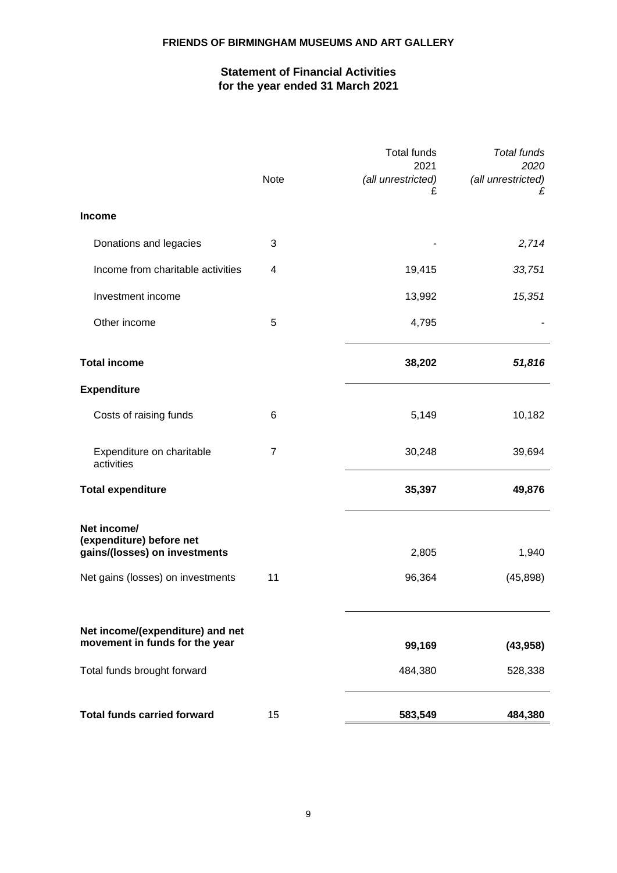# **Statement of Financial Activities for the year ended 31 March 2021**

|                                                           |      | <b>Total funds</b>              | <b>Total funds</b>              |
|-----------------------------------------------------------|------|---------------------------------|---------------------------------|
|                                                           | Note | 2021<br>(all unrestricted)<br>£ | 2020<br>(all unrestricted)<br>£ |
| <b>Income</b>                                             |      |                                 |                                 |
| Donations and legacies                                    | 3    |                                 | 2,714                           |
| Income from charitable activities                         | 4    | 19,415                          | 33,751                          |
| Investment income                                         |      | 13,992                          | 15,351                          |
| Other income                                              | 5    | 4,795                           |                                 |
| <b>Total income</b>                                       |      | 38,202                          | 51,816                          |
| <b>Expenditure</b>                                        |      |                                 |                                 |
| Costs of raising funds                                    | 6    | 5,149                           | 10,182                          |
| Expenditure on charitable<br>activities                   | 7    | 30,248                          | 39,694                          |
| <b>Total expenditure</b>                                  |      | 35,397                          | 49,876                          |
| Net income/                                               |      |                                 |                                 |
| (expenditure) before net<br>gains/(losses) on investments |      | 2,805                           | 1,940                           |
| Net gains (losses) on investments                         | 11   | 96,364                          | (45, 898)                       |
| Net income/(expenditure) and net                          |      |                                 |                                 |
| movement in funds for the year                            |      | 99,169                          | (43, 958)                       |
| Total funds brought forward                               |      | 484,380                         | 528,338                         |
| <b>Total funds carried forward</b>                        | 15   | 583,549                         | 484,380                         |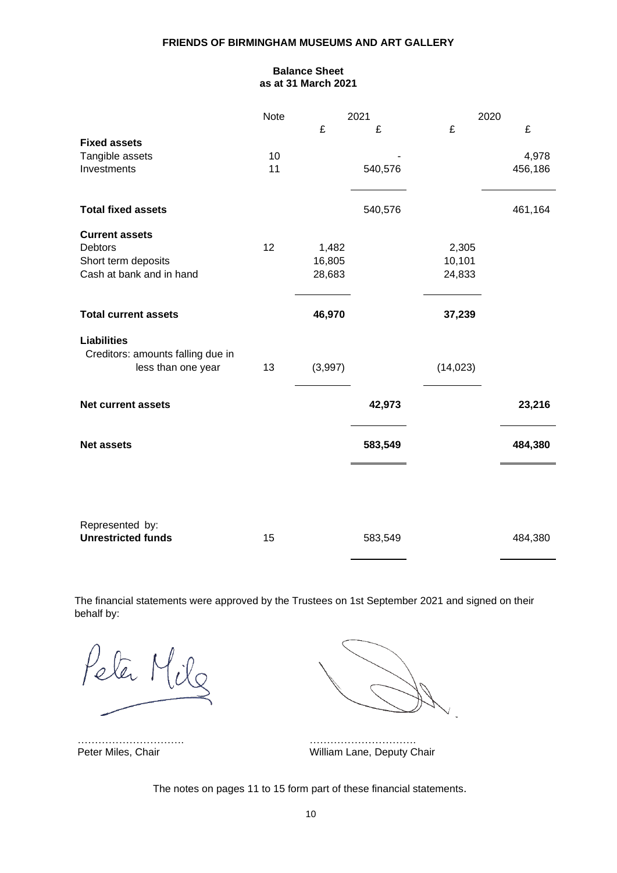# **Balance Sheet as at 31 March 2021**

|                                              | <b>Note</b> |         | 2021    | 2020      |         |
|----------------------------------------------|-------------|---------|---------|-----------|---------|
|                                              |             | £       | £       | £         | £       |
| <b>Fixed assets</b>                          |             |         |         |           |         |
| Tangible assets                              | 10          |         |         |           | 4,978   |
| Investments                                  | 11          |         | 540,576 |           | 456,186 |
|                                              |             |         |         |           |         |
| <b>Total fixed assets</b>                    |             |         | 540,576 |           | 461,164 |
| <b>Current assets</b>                        |             |         |         |           |         |
| <b>Debtors</b>                               | 12          | 1,482   |         | 2,305     |         |
| Short term deposits                          |             | 16,805  |         | 10,101    |         |
| Cash at bank and in hand                     |             | 28,683  |         | 24,833    |         |
| <b>Total current assets</b>                  |             | 46,970  |         | 37,239    |         |
|                                              |             |         |         |           |         |
| <b>Liabilities</b>                           |             |         |         |           |         |
| Creditors: amounts falling due in            |             |         |         |           |         |
| less than one year                           | 13          | (3,997) |         | (14, 023) |         |
| <b>Net current assets</b>                    |             |         | 42,973  |           | 23,216  |
|                                              |             |         |         |           |         |
| <b>Net assets</b>                            |             |         | 583,549 |           | 484,380 |
|                                              |             |         |         |           |         |
|                                              |             |         |         |           |         |
| Represented by:<br><b>Unrestricted funds</b> | 15          |         | 583,549 |           | 484,380 |

The financial statements were approved by the Trustees on 1st September 2021 and signed on their behalf by:

 $\blacksquare$ 

…………………………. …………………………. William Lane, Deputy Chair

The notes on pages 11 to 15 form part of these financial statements.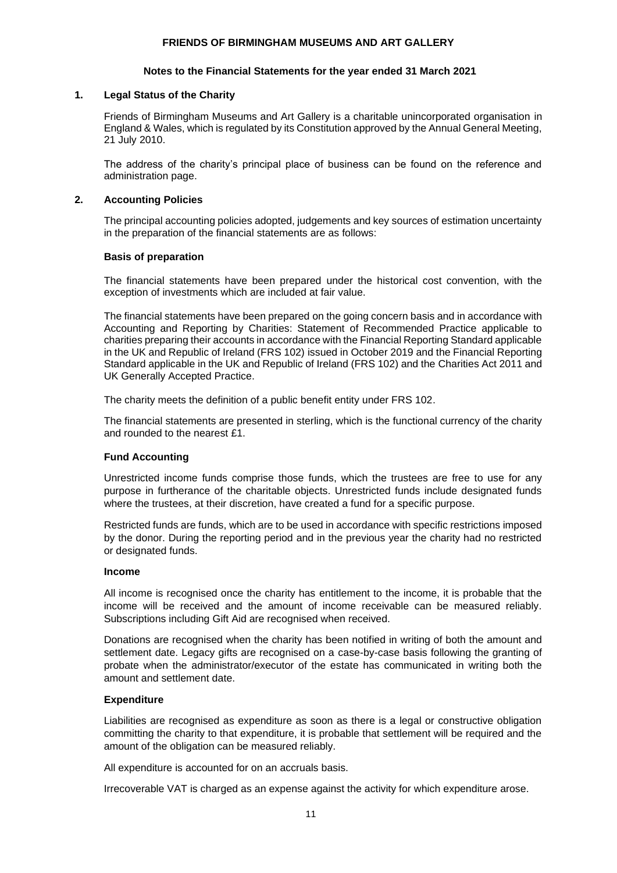### **Notes to the Financial Statements for the year ended 31 March 2021**

### **1. Legal Status of the Charity**

Friends of Birmingham Museums and Art Gallery is a charitable unincorporated organisation in England & Wales, which is regulated by its Constitution approved by the Annual General Meeting, 21 July 2010.

The address of the charity's principal place of business can be found on the reference and administration page.

# **2. Accounting Policies**

The principal accounting policies adopted, judgements and key sources of estimation uncertainty in the preparation of the financial statements are as follows:

### **Basis of preparation**

The financial statements have been prepared under the historical cost convention, with the exception of investments which are included at fair value.

The financial statements have been prepared on the going concern basis and in accordance with Accounting and Reporting by Charities: Statement of Recommended Practice applicable to charities preparing their accounts in accordance with the Financial Reporting Standard applicable in the UK and Republic of Ireland (FRS 102) issued in October 2019 and the Financial Reporting Standard applicable in the UK and Republic of Ireland (FRS 102) and the Charities Act 2011 and UK Generally Accepted Practice.

The charity meets the definition of a public benefit entity under FRS 102.

The financial statements are presented in sterling, which is the functional currency of the charity and rounded to the nearest £1.

# **Fund Accounting**

Unrestricted income funds comprise those funds, which the trustees are free to use for any purpose in furtherance of the charitable objects. Unrestricted funds include designated funds where the trustees, at their discretion, have created a fund for a specific purpose.

Restricted funds are funds, which are to be used in accordance with specific restrictions imposed by the donor. During the reporting period and in the previous year the charity had no restricted or designated funds.

### **Income**

All income is recognised once the charity has entitlement to the income, it is probable that the income will be received and the amount of income receivable can be measured reliably. Subscriptions including Gift Aid are recognised when received.

Donations are recognised when the charity has been notified in writing of both the amount and settlement date. Legacy gifts are recognised on a case-by-case basis following the granting of probate when the administrator/executor of the estate has communicated in writing both the amount and settlement date.

# **Expenditure**

Liabilities are recognised as expenditure as soon as there is a legal or constructive obligation committing the charity to that expenditure, it is probable that settlement will be required and the amount of the obligation can be measured reliably.

All expenditure is accounted for on an accruals basis.

Irrecoverable VAT is charged as an expense against the activity for which expenditure arose.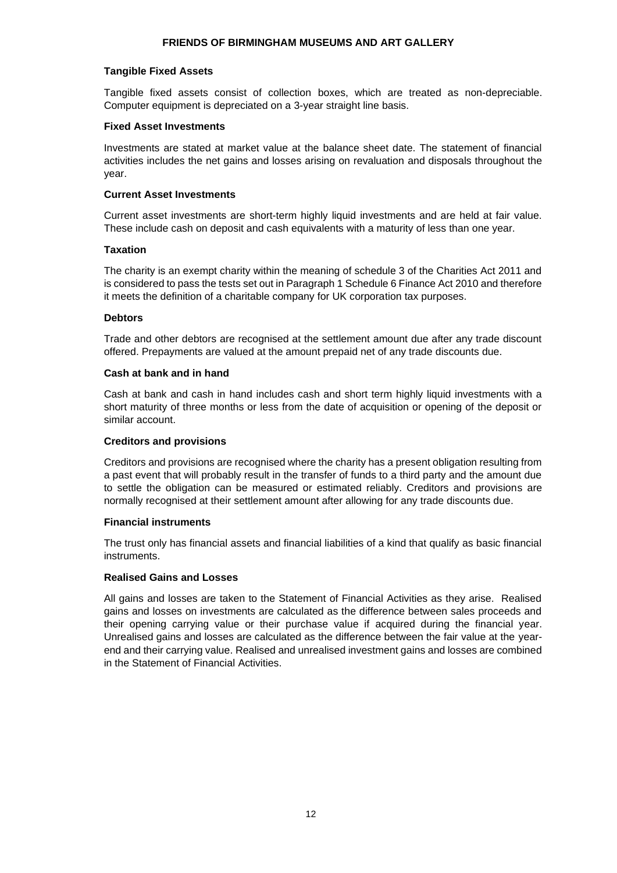### **Tangible Fixed Assets**

Tangible fixed assets consist of collection boxes, which are treated as non-depreciable. Computer equipment is depreciated on a 3-year straight line basis.

### **Fixed Asset Investments**

Investments are stated at market value at the balance sheet date. The statement of financial activities includes the net gains and losses arising on revaluation and disposals throughout the year.

### **Current Asset Investments**

Current asset investments are short-term highly liquid investments and are held at fair value. These include cash on deposit and cash equivalents with a maturity of less than one year.

### **Taxation**

The charity is an exempt charity within the meaning of schedule 3 of the Charities Act 2011 and is considered to pass the tests set out in Paragraph 1 Schedule 6 Finance Act 2010 and therefore it meets the definition of a charitable company for UK corporation tax purposes.

### **Debtors**

Trade and other debtors are recognised at the settlement amount due after any trade discount offered. Prepayments are valued at the amount prepaid net of any trade discounts due.

### **Cash at bank and in hand**

Cash at bank and cash in hand includes cash and short term highly liquid investments with a short maturity of three months or less from the date of acquisition or opening of the deposit or similar account.

### **Creditors and provisions**

Creditors and provisions are recognised where the charity has a present obligation resulting from a past event that will probably result in the transfer of funds to a third party and the amount due to settle the obligation can be measured or estimated reliably. Creditors and provisions are normally recognised at their settlement amount after allowing for any trade discounts due.

### **Financial instruments**

The trust only has financial assets and financial liabilities of a kind that qualify as basic financial instruments.

### **Realised Gains and Losses**

All gains and losses are taken to the Statement of Financial Activities as they arise. Realised gains and losses on investments are calculated as the difference between sales proceeds and their opening carrying value or their purchase value if acquired during the financial year. Unrealised gains and losses are calculated as the difference between the fair value at the yearend and their carrying value. Realised and unrealised investment gains and losses are combined in the Statement of Financial Activities.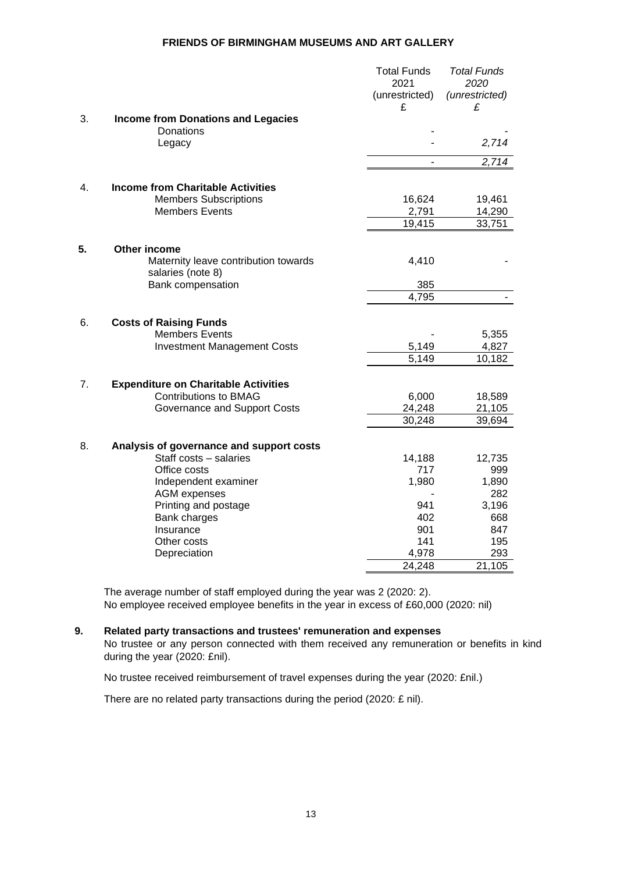|    |                                             | <b>Total Funds</b> | <b>Total Funds</b> |
|----|---------------------------------------------|--------------------|--------------------|
|    |                                             | 2021               | 2020               |
|    |                                             | (unrestricted)     | (unrestricted)     |
|    |                                             | £                  | £                  |
| 3. | <b>Income from Donations and Legacies</b>   |                    |                    |
|    | Donations                                   |                    |                    |
|    | Legacy                                      |                    | 2,714              |
|    |                                             |                    | 2,714              |
|    |                                             |                    |                    |
| 4. | <b>Income from Charitable Activities</b>    |                    |                    |
|    | <b>Members Subscriptions</b>                | 16,624             | 19,461             |
|    | <b>Members Events</b>                       | 2,791              | 14,290             |
|    |                                             | 19,415             | 33,751             |
| 5. | Other income                                |                    |                    |
|    | Maternity leave contribution towards        | 4,410              |                    |
|    | salaries (note 8)                           |                    |                    |
|    | Bank compensation                           | 385                |                    |
|    |                                             | 4,795              |                    |
|    |                                             |                    |                    |
| 6. | <b>Costs of Raising Funds</b>               |                    |                    |
|    | <b>Members Events</b>                       |                    | 5,355              |
|    | <b>Investment Management Costs</b>          | 5,149              | 4,827              |
|    |                                             | 5,149              | 10,182             |
| 7. | <b>Expenditure on Charitable Activities</b> |                    |                    |
|    | <b>Contributions to BMAG</b>                | 6,000              | 18,589             |
|    | Governance and Support Costs                | 24,248             | 21,105             |
|    |                                             | 30,248             | 39,694             |
|    |                                             |                    |                    |
| 8. | Analysis of governance and support costs    |                    |                    |
|    | Staff costs - salaries                      | 14,188             | 12,735             |
|    | Office costs                                | 717                | 999                |
|    | Independent examiner                        | 1,980              | 1,890              |
|    | <b>AGM</b> expenses                         |                    | 282                |
|    | Printing and postage                        | 941                | 3,196              |
|    | Bank charges                                | 402                | 668                |
|    | Insurance                                   | 901<br>141         | 847                |
|    | Other costs                                 | 4,978              | 195<br>293         |
|    | Depreciation                                |                    |                    |
|    |                                             | 24,248             | 21,105             |

The average number of staff employed during the year was 2 (2020: 2). No employee received employee benefits in the year in excess of £60,000 (2020: nil)

# **9. Related party transactions and trustees' remuneration and expenses**

No trustee or any person connected with them received any remuneration or benefits in kind during the year (2020: £nil).

No trustee received reimbursement of travel expenses during the year (2020: £nil.)

There are no related party transactions during the period (2020: £ nil).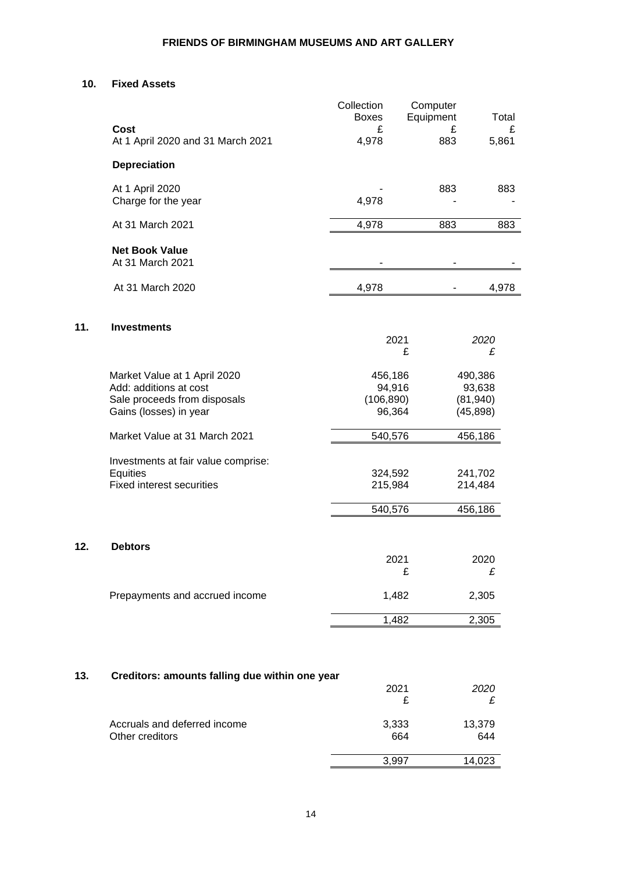### **10. Fixed Assets**

**11.** 

**12.** 

Other creditors

|     | <b>Cost</b><br>At 1 April 2020 and 31 March 2021                                                                 | Collection<br><b>Boxes</b><br>£<br>4,978  | Computer<br>Equipment<br>£<br>883 | Total<br>£<br>5,861                         |
|-----|------------------------------------------------------------------------------------------------------------------|-------------------------------------------|-----------------------------------|---------------------------------------------|
|     | <b>Depreciation</b>                                                                                              |                                           |                                   |                                             |
|     | At 1 April 2020<br>Charge for the year                                                                           | 4,978                                     | 883                               | 883                                         |
|     | At 31 March 2021                                                                                                 | 4,978                                     | 883                               | 883                                         |
|     | <b>Net Book Value</b><br>At 31 March 2021                                                                        |                                           |                                   |                                             |
|     | At 31 March 2020                                                                                                 | 4,978                                     |                                   | 4,978                                       |
| 11. | <b>Investments</b>                                                                                               |                                           |                                   |                                             |
|     |                                                                                                                  |                                           | 2021<br>£                         | 2020<br>£                                   |
|     | Market Value at 1 April 2020<br>Add: additions at cost<br>Sale proceeds from disposals<br>Gains (losses) in year | 456,186<br>94,916<br>(106, 890)<br>96,364 |                                   | 490,386<br>93,638<br>(81, 940)<br>(45, 898) |
|     | Market Value at 31 March 2021                                                                                    | 540,576                                   |                                   | 456,186                                     |
|     | Investments at fair value comprise:<br>Equities<br><b>Fixed interest securities</b>                              | 324,592<br>215,984<br>540,576             |                                   | 241,702<br>214,484<br>456,186               |
| 12. | <b>Debtors</b>                                                                                                   |                                           | 2021                              | 2020                                        |
|     | Prepayments and accrued income                                                                                   |                                           | £<br>1,482                        | £<br>2,305                                  |
|     |                                                                                                                  |                                           | 1,482                             | 2,305                                       |
|     |                                                                                                                  |                                           |                                   |                                             |
| 13. | Creditors: amounts falling due within one year                                                                   |                                           | 2021<br>£                         | 2020<br>£                                   |
|     | Accruals and deferred income                                                                                     |                                           | 3,333                             | 13,379                                      |

664

3,997 14,023

644

L,